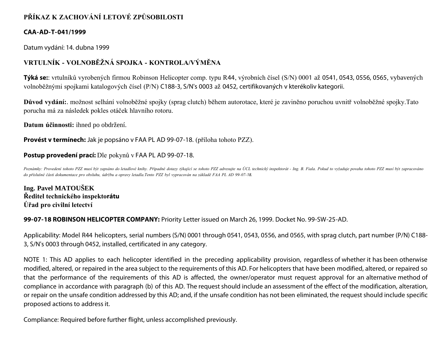# **PŘÍKAZ K ZACHOVÁNÍ LETOVÉ ZPŮSOBILOSTI**

### **CAA-AD-T-041/1999**

Datum vydání: 14. dubna 1999

## **VRTULNÍK - VOLNOBĚŽNÁ SPOJKA - KONTROLA/VÝMĚNA**

**Týká se:**: vrtulníků vyrobených firmou Robinson Helicopter comp. typu R44, výrobních čísel (S/N) 0001 až 0541, 0543, 0556, 0565, vybavených volnoběžnými spojkami katalogových čísel (P/N) C188-3, S/N's 0003 až 0452, certifikovaných v kterékoliv kategorii.

**Důvod vydání:**. možnost selhání volnoběžné spojky (sprag clutch) během autorotace, které je zaviněno poruchou uvnitř volnoběžné spojky.Tato porucha má za následek pokles otáček hlavního rotoru.

**Datum účinnosti:** ihned po obdržení.

**Provést v termínech:** Jak je popsáno v FAA PL AD 99-07-18. (příloha tohoto PZZ).

#### **Postup provedení prací:** Dle pokynů v FAA PL AD 99-07-18.

Poznámky: Provedení tohoto PZZ musí být zapsáno do letadlové knihy. Případné dotazy týkající se tohoto PZZ adresujte na ÚCL technický inspektorát - Ing. B. Fiala. Pokud to vyžaduje povaha tohoto PZZ musí být zapracováno *do příslušné části dokumentace pro obsluhu, údržbu a opravy letadla.Tento PZZ byl vypracován na základě FAA PL AD 99-07-18.*

**Ing. Pavel MATOUŠEK Ředitel technického inspektorátu Úřad pro civilní letectví**

**99-07-18 ROBINSON HELICOPTER COMPANY:** Priority Letter issued on March 26, 1999. Docket No. 99-SW-25-AD.

Applicability: Model R44 helicopters, serial numbers (S/N) 0001 through 0541, 0543, 0556, and 0565, with sprag clutch, part number (P/N) C188- 3, S/N's 0003 through 0452, installed, certificated in any category.

NOTE 1: This AD applies to each helicopter identified in the preceding applicability provision, regardless of whether it has been otherwise modified, altered, or repaired in the area subject to the requirements of this AD. For helicopters that have been modified, altered, or repaired so that the performance of the requirements of this AD is affected, the owner/operator must request approval for an alternative method of compliance in accordance with paragraph (b) of this AD. The request should include an assessment of the effect of the modification, alteration, or repair on the unsafe condition addressed by this AD; and, if the unsafe condition has not been eliminated, the request should include specific proposed actions to address it.

Compliance: Required before further flight, unless accomplished previously.